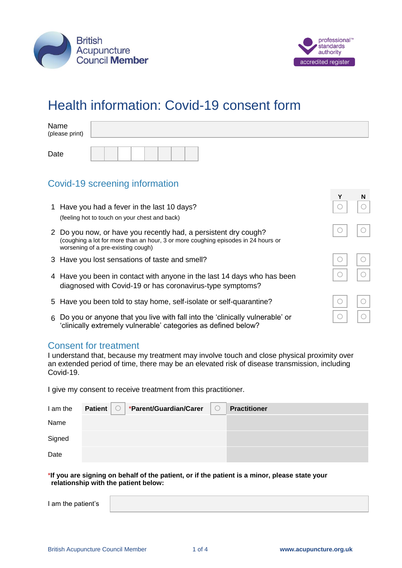



**Y N**

 $\subset$ 

# Health information: Covid-19 consent form

| Name<br>(please print) |  |  |  |  |  |
|------------------------|--|--|--|--|--|
| Date                   |  |  |  |  |  |

## Covid-19 screening information

- 1 Have you had a fever in the last 10 days? (feeling hot to touch on your chest and back)
- 2 Do you now, or have you recently had, a persistent dry cough? (coughing a lot for more than an hour, 3 or more coughing episodes in 24 hours or worsening of a pre-existing cough)
- 3 Have you lost sensations of taste and smell?
- 4 Have you been in contact with anyone in the last 14 days who has been diagnosed with Covid-19 or has coronavirus-type symptoms?
- 5 Have you been told to stay home, self-isolate or self-quarantine?
- 6 Do you or anyone that you live with fall into the 'clinically vulnerable' or 'clinically extremely vulnerable' categories as defined below?

### Consent for treatment

I understand that, because my treatment may involve touch and close physical proximity over an extended period of time, there may be an elevated risk of disease transmission, including Covid-19.

I give my consent to receive treatment from this practitioner.

| I am the | Patient | *Parent/Guardian/Carer | $\cup$ | <b>Practitioner</b> |
|----------|---------|------------------------|--------|---------------------|
| Name     |         |                        |        |                     |
| Signed   |         |                        |        |                     |
| Date     |         |                        |        |                     |

\***If you are signing on behalf of the patient, or if the patient is a minor, please state your relationship with the patient below:**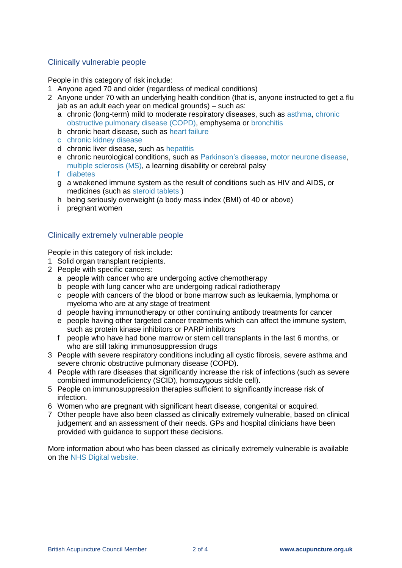#### Clinically vulnerable people

People in this category of risk include:

- 1 Anyone aged 70 and older (regardless of medical conditions)
- 2 Anyone under 70 with an underlying health condition (that is, anyone instructed to get a flu jab as an adult each year on medical grounds) – such as:
	- a chronic (long-term) mild to moderate respiratory diseases, such as [asthma,](https://www.nhs.uk/conditions/asthma/) [chronic](https://www.nhs.uk/conditions/chronic-obstructive-pulmonary-disease-copd/)  [obstructive pulmonary disease \(COPD\),](https://www.nhs.uk/conditions/chronic-obstructive-pulmonary-disease-copd/) emphysema or [bronchitis](https://www.nhs.uk/conditions/bronchitis/)
	- b chronic heart disease, such as [heart failure](https://www.nhs.uk/conditions/heart-failure/)
	- c [chronic kidney disease](https://www.nhs.uk/conditions/kidney-disease/)
	- d chronic liver disease, such as [hepatitis](https://www.nhs.uk/conditions/hepatitis/)
	- e chronic neurological conditions, such as [Parkinson's disease,](https://www.nhs.uk/conditions/parkinsons-disease/) [motor neurone disease,](https://www.nhs.uk/conditions/motor-neurone-disease/) [multiple sclerosis \(MS\),](https://www.nhs.uk/conditions/multiple-sclerosis/) a learning disability or cerebral palsy
	- f [diabetes](https://www.nhs.uk/conditions/diabetes/)
	- g a weakened immune system as the result of conditions such as [HIV and AIDS,](https://www.nhs.uk/conditions/hiv-and-aids/) or medicines (such as [steroid tablets](https://www.nhs.uk/conditions/steroids/) )
	- h being seriously overweight (a body mass index (BMI) of 40 or above)
	- i pregnant women

#### Clinically extremely vulnerable people

People in this category of risk include:

- 1 Solid organ transplant recipients.
- 2 People with specific cancers:
	- a people with cancer who are undergoing active chemotherapy
	- b people with lung cancer who are undergoing radical radiotherapy
	- c people with cancers of the blood or bone marrow such as leukaemia, lymphoma or myeloma who are at any stage of treatment
	- d people having immunotherapy or other continuing antibody treatments for cancer
	- e people having other targeted cancer treatments which can affect the immune system, such as protein kinase inhibitors or PARP inhibitors
	- f people who have had bone marrow or stem cell transplants in the last 6 months, or who are still taking immunosuppression drugs
- 3 People with severe respiratory conditions including all cystic fibrosis, severe asthma and severe chronic obstructive pulmonary disease (COPD).
- 4 People with rare diseases that significantly increase the risk of infections (such as severe combined immunodeficiency (SCID), homozygous sickle cell).
- 5 People on immunosuppression therapies sufficient to significantly increase risk of infection.
- 6 Women who are pregnant with significant heart disease, congenital or acquired.
- 7 Other people have also been classed as clinically extremely vulnerable, based on clinical judgement and an assessment of their needs. GPs and hospital clinicians have been provided with guidance to support these decisions.

More information about who has been classed as clinically extremely vulnerable is available on the [NHS Digital website.](https://digital.nhs.uk/coronavirus/shielded-patient-list)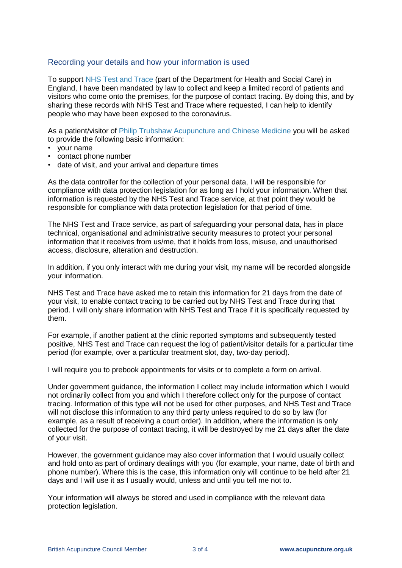#### Recording your details and how your information is used

To support NHS Test and Trace (part of the Department for Health and Social Care) in England, I have been mandated by law to collect and keep a limited record of patients and visitors who come onto the premises, for the purpose of contact tracing. By doing this, and by sharing these records with NHS Test and Trace where requested, I can help to identify people who may have been exposed to the coronavirus.

As a patient/visitor of Philip Trubshaw Acupuncture and Chinese Medicine you will be asked to provide the following basic information:

- your name
- contact phone number
- date of visit, and your arrival and departure times

As the data controller for the collection of your personal data, I will be responsible for compliance with data protection legislation for as long as I hold your information. When that information is requested by the NHS Test and Trace service, at that point they would be responsible for compliance with data protection legislation for that period of time.

The NHS Test and Trace service, as part of safeguarding your personal data, has in place technical, organisational and administrative security measures to protect your personal information that it receives from us/me, that it holds from loss, misuse, and unauthorised access, disclosure, alteration and destruction.

In addition, if you only interact with me during your visit, my name will be recorded alongside your information.

NHS Test and Trace have asked me to retain this information for 21 days from the date of your visit, to enable contact tracing to be carried out by NHS Test and Trace during that period. I will only share information with NHS Test and Trace if it is specifically requested by them.

For example, if another patient at the clinic reported symptoms and subsequently tested positive, NHS Test and Trace can request the log of patient/visitor details for a particular time period (for example, over a particular treatment slot, day, two-day period).

I will require you to prebook appointments for visits or to complete a form on arrival.

Under government guidance, the information I collect may include information which I would not ordinarily collect from you and which I therefore collect only for the purpose of contact tracing. Information of this type will not be used for other purposes, and NHS Test and Trace will not disclose this information to any third party unless required to do so by law (for example, as a result of receiving a court order). In addition, where the information is only collected for the purpose of contact tracing, it will be destroyed by me 21 days after the date of your visit.

However, the government guidance may also cover information that I would usually collect and hold onto as part of ordinary dealings with you (for example, your name, date of birth and phone number). Where this is the case, this information only will continue to be held after 21 days and I will use it as I usually would, unless and until you tell me not to.

Your information will always be stored and used in compliance with the relevant data protection legislation.